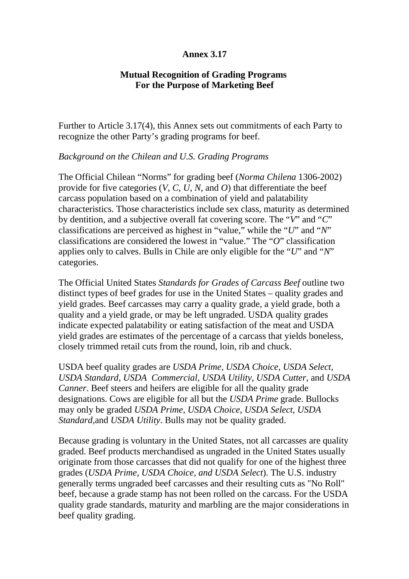## **Annex 3.17**

## **Mutual Recognition of Grading Programs For the Purpose of Marketing Beef**

Further to Article 3.17(4), this Annex sets out commitments of each Party to recognize the other Party's grading programs for beef.

## *Background on the Chilean and U.S. Grading Programs*

The Official Chilean "Norms" for grading beef (*Norma Chilena* 1306-2002) provide for five categories (*V*, *C*, *U*, *N*, and *O*) that differentiate the beef carcass population based on a combination of yield and palatability characteristics. Those characteristics include sex class, maturity as determined by dentition, and a subjective overall fat covering score. The "*V*" and "*C*" classifications are perceived as highest in "value," while the "*U*" and "*N*" classifications are considered the lowest in "value." The "*O*" classification applies only to calves. Bulls in Chile are only eligible for the "*U*" and "*N*" categories.

The Official United States *Standards for Grades of Carcass Beef* outline two distinct types of beef grades for use in the United States – quality grades and yield grades. Beef carcasses may carry a quality grade, a yield grade, both a quality and a yield grade, or may be left ungraded. USDA quality grades indicate expected palatability or eating satisfaction of the meat and USDA yield grades are estimates of the percentage of a carcass that yields boneless, closely trimmed retail cuts from the round, loin, rib and chuck.

USDA beef quality grades are *USDA Prime, USDA Choice, USDA Select, USDA Standard, USDA Commercial, USDA Utility, USDA Cutter,* and *USDA Canner*. Beef steers and heifers are eligible for all the quality grade designations. Cows are eligible for all but the *USDA Prime* grade. Bullocks may only be graded *USDA Prime*, *USDA Choice*, *USDA Select*, *USDA Standard,*and *USDA Utility*. Bulls may not be quality graded.

Because grading is voluntary in the United States, not all carcasses are quality graded. Beef products merchandised as ungraded in the United States usually originate from those carcasses that did not qualify for one of the highest three grades (*USDA Prime, USDA Choice, and USDA Select*). The U.S. industry generally terms ungraded beef carcasses and their resulting cuts as "No Roll" beef, because a grade stamp has not been rolled on the carcass. For the USDA quality grade standards, maturity and marbling are the major considerations in beef quality grading.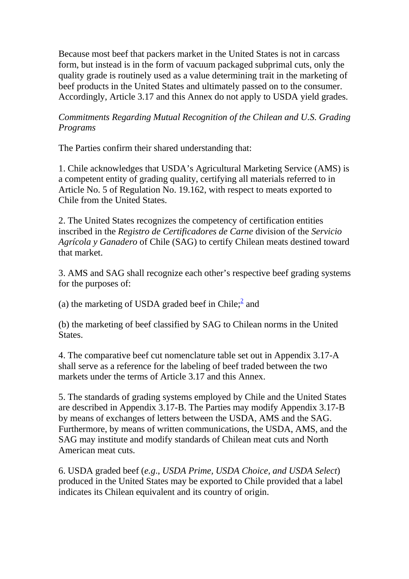Because most beef that packers market in the United States is not in carcass form, but instead is in the form of vacuum packaged subprimal cuts, only the quality grade is routinely used as a value determining trait in the marketing of beef products in the United States and ultimately passed on to the consumer. Accordingly, Article 3.17 and this Annex do not apply to USDA yield grades.

## *Commitments Regarding Mutual Recognition of the Chilean and U.S. Grading Programs*

The Parties confirm their shared understanding that:

1. Chile acknowledges that USDA's Agricultural Marketing Service (AMS) is a competent entity of grading quality, certifying all materials referred to in Article No. 5 of Regulation No. 19.162, with respect to meats exported to Chile from the United States.

2. The United States recognizes the competency of certification entities inscribed in the *Registro de Certificadores de Carne* division of the *Servicio Agrícola y Ganadero* of Chile (SAG) to certify Chilean meats destined toward that market.

3. AMS and SAG shall recognize each other's respective beef grading systems for the purposes of:

(a) the marketing of USDA graded beef in Chile; $\frac{2}{3}$  and

(b) the marketing of beef classified by SAG to Chilean norms in the United States.

4. The comparative beef cut nomenclature table set out in Appendix 3.17-A shall serve as a reference for the labeling of beef traded between the two markets under the terms of Article 3.17 and this Annex.

5. The standards of grading systems employed by Chile and the United States are described in Appendix 3.17-B. The Parties may modify Appendix 3.17-B by means of exchanges of letters between the USDA, AMS and the SAG. Furthermore, by means of written communications, the USDA, AMS, and the SAG may institute and modify standards of Chilean meat cuts and North American meat cuts.

6. USDA graded beef (*e.g*., *USDA Prime, USDA Choice, and USDA Select*) produced in the United States may be exported to Chile provided that a label indicates its Chilean equivalent and its country of origin.